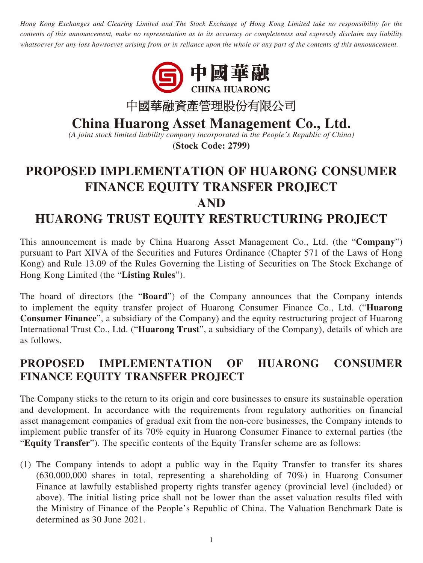*Hong Kong Exchanges and Clearing Limited and The Stock Exchange of Hong Kong Limited take no responsibility for the contents of this announcement, make no representation as to its accuracy or completeness and expressly disclaim any liability whatsoever for any loss howsoever arising from or in reliance upon the whole or any part of the contents of this announcement.*



**China Huarong Asset Management Co., Ltd.**

*(A joint stock limited liability company incorporated in the People's Republic of China)*

**(Stock Code: 2799)**

## **PROPOSED IMPLEMENTATION OF HUARONG CONSUMER FINANCE EQUITY TRANSFER PROJECT AND HUARONG TRUST EQUITY RESTRUCTURING PROJECT**

This announcement is made by China Huarong Asset Management Co., Ltd. (the "**Company**") pursuant to Part XIVA of the Securities and Futures Ordinance (Chapter 571 of the Laws of Hong Kong) and Rule 13.09 of the Rules Governing the Listing of Securities on The Stock Exchange of Hong Kong Limited (the "**Listing Rules**").

The board of directors (the "**Board**") of the Company announces that the Company intends to implement the equity transfer project of Huarong Consumer Finance Co., Ltd. ("**Huarong Consumer Finance**", a subsidiary of the Company) and the equity restructuring project of Huarong International Trust Co., Ltd. ("**Huarong Trust**", a subsidiary of the Company), details of which are as follows.

## **PROPOSED IMPLEMENTATION OF HUARONG CONSUMER FINANCE EQUITY TRANSFER PROJECT**

The Company sticks to the return to its origin and core businesses to ensure its sustainable operation and development. In accordance with the requirements from regulatory authorities on financial asset management companies of gradual exit from the non-core businesses, the Company intends to implement public transfer of its 70% equity in Huarong Consumer Finance to external parties (the "**Equity Transfer**"). The specific contents of the Equity Transfer scheme are as follows:

(1) The Company intends to adopt a public way in the Equity Transfer to transfer its shares (630,000,000 shares in total, representing a shareholding of 70%) in Huarong Consumer Finance at lawfully established property rights transfer agency (provincial level (included) or above). The initial listing price shall not be lower than the asset valuation results filed with the Ministry of Finance of the People's Republic of China. The Valuation Benchmark Date is determined as 30 June 2021.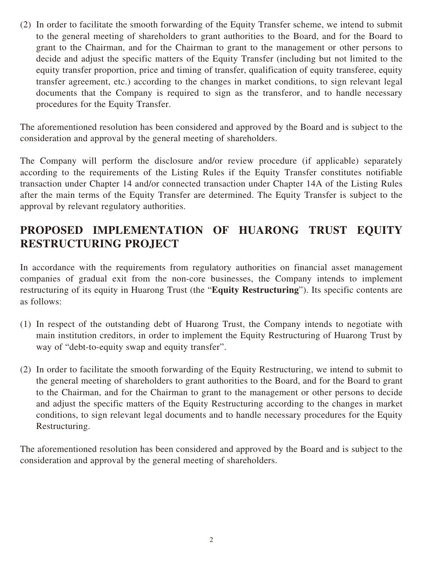(2) In order to facilitate the smooth forwarding of the Equity Transfer scheme, we intend to submit to the general meeting of shareholders to grant authorities to the Board, and for the Board to grant to the Chairman, and for the Chairman to grant to the management or other persons to decide and adjust the specific matters of the Equity Transfer (including but not limited to the equity transfer proportion, price and timing of transfer, qualification of equity transferee, equity transfer agreement, etc.) according to the changes in market conditions, to sign relevant legal documents that the Company is required to sign as the transferor, and to handle necessary procedures for the Equity Transfer.

The aforementioned resolution has been considered and approved by the Board and is subject to the consideration and approval by the general meeting of shareholders.

The Company will perform the disclosure and/or review procedure (if applicable) separately according to the requirements of the Listing Rules if the Equity Transfer constitutes notifiable transaction under Chapter 14 and/or connected transaction under Chapter 14A of the Listing Rules after the main terms of the Equity Transfer are determined. The Equity Transfer is subject to the approval by relevant regulatory authorities.

## **PROPOSED IMPLEMENTATION OF HUARONG TRUST EQUITY RESTRUCTURING PROJECT**

In accordance with the requirements from regulatory authorities on financial asset management companies of gradual exit from the non-core businesses, the Company intends to implement restructuring of its equity in Huarong Trust (the "**Equity Restructuring**"). Its specific contents are as follows:

- (1) In respect of the outstanding debt of Huarong Trust, the Company intends to negotiate with main institution creditors, in order to implement the Equity Restructuring of Huarong Trust by way of "debt-to-equity swap and equity transfer".
- (2) In order to facilitate the smooth forwarding of the Equity Restructuring, we intend to submit to the general meeting of shareholders to grant authorities to the Board, and for the Board to grant to the Chairman, and for the Chairman to grant to the management or other persons to decide and adjust the specific matters of the Equity Restructuring according to the changes in market conditions, to sign relevant legal documents and to handle necessary procedures for the Equity Restructuring.

The aforementioned resolution has been considered and approved by the Board and is subject to the consideration and approval by the general meeting of shareholders.